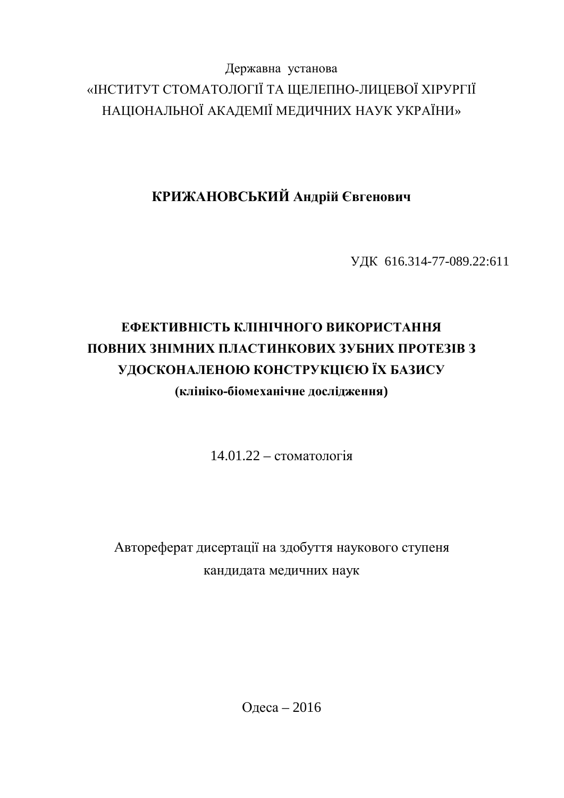Державна установа «ІНСТИТУТ СТОМАТОЛОГІЇ ТА ЩЕЛЕПНО-ЛИЦЕВОЇ ХІРУРГІЇ НАЦІОНАЛЬНОЇ АКАДЕМІЇ МЕДИЧНИХ НАУК УКРАЇНИ»

КРИЖАНОВСЬКИЙ Андрій Євгенович

ɍȾɄ 616.314-77-089.22:611

# **ЕФЕКТИВНІСТЬ КЛІНІЧНОГО ВИКОРИСТАННЯ ɉɈȼɇɂɏɁɇȱɆɇɂɏɉɅȺɋɌɂɇɄɈȼɂɏɁɍȻɇɂɏɉɊɈɌȿɁȱȼɁ** УДОСКОНАЛЕНОЮ КОНСТРУКЦІЄЮ ЇХ БАЗИСУ **ɤɥɿɧɿɤɨɛɿɨɦɟɯɚɧɿɱɧɟɞɨɫɥɿɞɠɟɧɧɹ)**

 $14.01.22 -$  стоматологія

Автореферат дисертації на здобуття наукового ступеня кандидата медичних наук

Одеса – 2016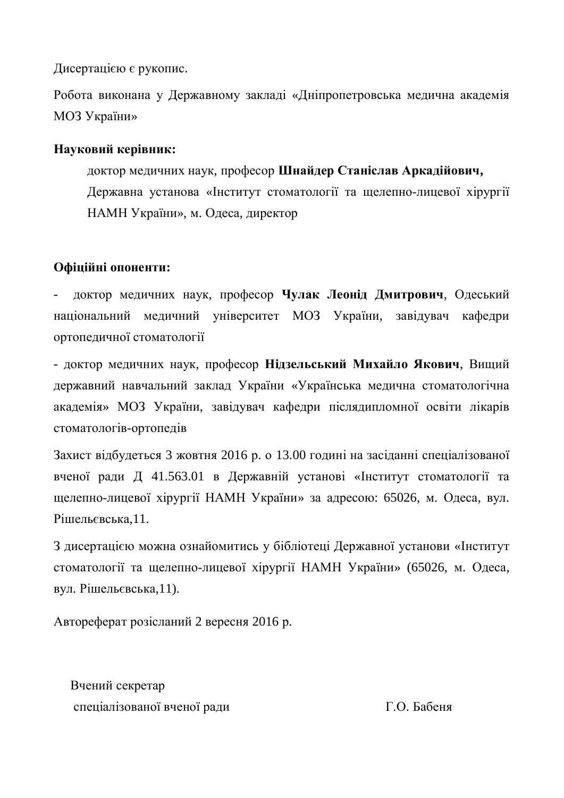Дисертацією є рукопис.

Робота виконана у Державному закладі «Дніпропетровська медична академія МОЗ України»

# Науковий керівник:

доктор медичних наук, професор Шнайдер Станіслав Аркадійович, Державна установа «Інститут стоматології та щелепно-лицевої хірургії НАМН України», м. Одеса, директор

# Офіційні опоненти:

доктор медичних наук, професор Чулак Леонід Дмитрович, Одеський національний медичний університет МОЗ України, завідувач кафедри ортопедичної стоматології

- доктор медичних наук, професор Нідзельський Михайло Якович, Вищий державний навчальний заклад України «Українська медична стоматологічна академія» МОЗ України, завідувач кафедри післядипломної освіти лікарів стоматологів-ортопедів

Захист відбудеться 3 жовтня 2016 р. о 13.00 годині на засіданні спеціалізованої вченої ради Д 41.563.01 в Державній установі «Інститут стоматології та щелепно-лицевої хірургії НАМН України» за адресою: 65026, м. Одеса, вул. P<sub>i</sub> UHENERCLE 2.11.

З дисертацією можна ознайомитись у бібліотеці Державної установи «Інститут стоматології та щелепно-лицевої хірургії НАМН України» (65026, м. Одеса, вул. Рішельєвська,11).

Автореферат розісланий 2 вересня 2016 р.

Вчений секретар спеціалізованої вченої ради П.О. Бабеня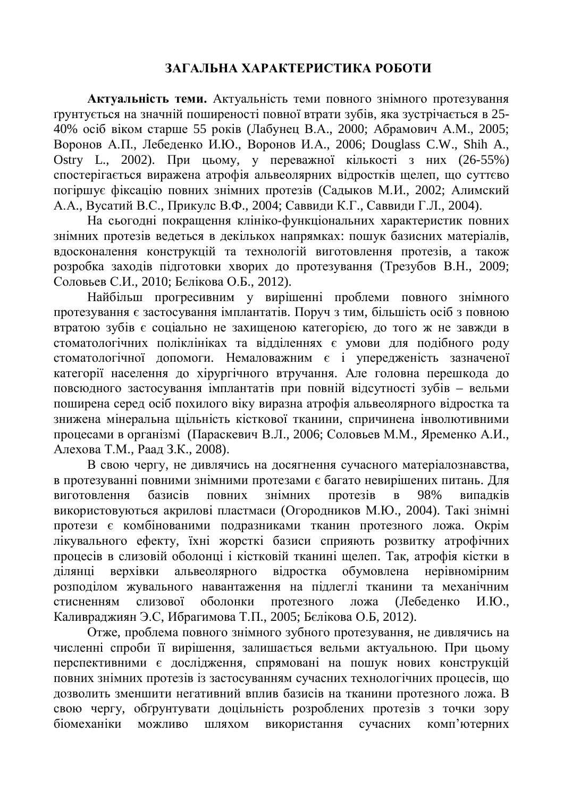# ЗАГАЛЬНА ХАРАКТЕРИСТИКА РОБОТИ

Актуальність теми. Актуальність теми повного знімного протезування грунтується на значній поширеності повної втрати зубів, яка зустрічається в 25-40% осіб віком старше 55 років (Лабунец В.А., 2000; Абрамович А.М., 2005; Воронов А.П., Лебеденко И.Ю., Воронов И.А., 2006; Douglass C.W., Shih A., Ostry L., 2002). При цьому, у переважної кількості з них (26-55%) спостерігається виражена атрофія альвеолярних відростків щелеп, що суттєво погіршує фіксацію повних знімних протезів (Садыков М.И., 2002; Алимский А.А., Вусатий В.С., Прикулс В.Ф., 2004; Саввиди К.Г., Саввиди Г.Л., 2004).

На сьогодні покращення клініко-функціональних характеристик повних знімних протезів ведеться в декількох напрямках: пошук базисних матеріалів, вдосконалення конструкцій та технологій виготовлення протезів, а також розробка заходів підготовки хворих до протезування (Трезубов В.Н., 2009; Соловьев С.И., 2010; Бєлікова О.Б., 2012).

Найбільш прогресивним у вирішенні проблеми повного знімного протезування є застосування імплантатів. Поруч з тим, більшість осіб з повною втратою зубів є соціально не захищеною категорією, до того ж не завжди в стоматологічних поліклініках та відділеннях є умови для подібного роду стоматологічної допомоги. Немаловажним є і упередженість зазначеної категорії населення до хірургічного втручання. Але головна перешкода до повсюдного застосування імплантатів при повній відсутності зубів – вельми поширена серед осіб похилого віку виразна атрофія альвеолярного відростка та знижена мінеральна щільність кісткової тканини, спричинена інволютивними процесами в організмі (Параскевич В.Л., 2006; Соловьев М.М., Яременко А.И., Алехова Т.М., Раад З.К., 2008).

В свою чергу, не дивлячись на досягнення сучасного матеріалознавства, в протезуванні повними знімними протезами є багато невирішених питань. Для виготовлення базисів повних знімних протезів в 98% випадків використовуються акрилові пластмаси (Огородников М.Ю., 2004). Такі знімні протези є комбінованими подразниками тканин протезного ложа. Окрім лікувального ефекту, їхні жорсткі базиси сприяють розвитку атрофічних процесів в слизовій оболонці і кістковій тканині щелеп. Так, атрофія кістки в ділянці верхівки альвеолярного відростка обумовлена нерівномірним розполілом жувального навантаження на піллеглі тканини та механічним стисненням слизової оболонки протезного ложа (Лебеденко И.Ю., Каливраджиян Э.С, Ибрагимова Т.П., 2005; Бєлікова О.Б, 2012).

Отже, проблема повного знімного зубного протезування, не дивлячись на численні спроби її вирішення, залишається вельми актуальною. При цьому перспективними є дослідження, спрямовані на пошук нових конструкцій повних знімних протезів із застосуванням сучасних технологічних процесів, що дозволить зменшити негативний вплив базисів на тканини протезного ложа. В свою чергу, обгрунтувати доцільність розроблених протезів з точки зору біомеханіки можливо шляхом використання сучасних комп'ютерних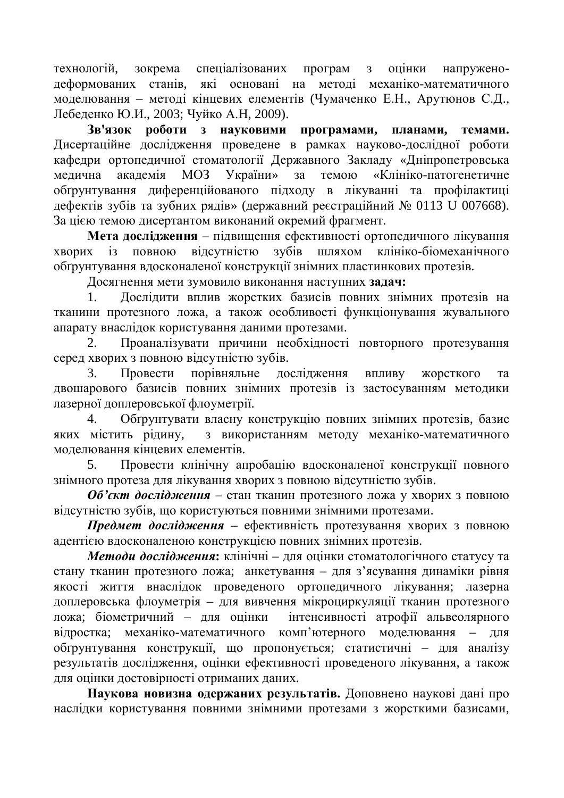технологій, зокрема спеціалізованих програм з оцінки напруженодеформованих станів, які основані на методі механіко-математичного моделювання – методі кінцевих елементів (Чумаченко Е.Н., Арутюнов С.Д., Лебеденко Ю.И., 2003; Чуйко А.Н, 2009).

3в'язок  $\overline{DO6}$ **OТИ** 3 НАУКОВИМИ ПРОГРАМАМИ, ПЛАНАМИ, ТЕМАМИ, Дисертаційне дослідження проведене в рамках науково-дослідної роботи кафедри ортопедичної стоматології Державного Закладу «Дніпропетровська медична академія МОЗ України» за темою «Клініко-патогенетичне обтрунтування диференційованого підходу в лікуванні та профілактиці дефектів зубів та зубних рядів» (державний реєстраційний № 0113 U 007668). За цією темою дисертантом виконаний окремий фрагмент.

Мета дослідження – підвищення ефективності ортопедичного лікування хворих із повною відсутністю зубів шляхом клініко-біомеханічного обґрунтування вдосконаленої конструкції знімних пластинкових протезів.

Досягнення мети зумовило виконання наступних задач:

1. Дослідити вплив жорстких базисів повних знімних протезів на тканини протезного ложа, а також особливості функціонування жувального апарату внаслідок користування даними протезами.

2. Проаналізувати причини необхідності повторного протезування серед хворих з повною відсутністю зубів.

3. Провести порівняльне дослідження впливу жорсткого та двошарового базисів повних знімних протезів із застосуванням методики лазерної доплеровської флоуметрії.

4. Обгрунтувати власну конструкцію повних знімних протезів, базис яких містить рідину, з використанням методу механіко-математичного моделювання кінцевих елементів.

5. Провести клінічну апробацію вдосконаленої конструкції повного знімного протеза для лікування хворих з повною відсутністю зубів.

**Об'єкт дослідження** – стан тканин протезного ложа у хворих з повною відсутністю зубів, що користуються повними знімними протезами.

Предмет дослідження – ефективність протезування хворих з повною адентією вдосконаленою конструкцією повних знімних протезів.

**Методи дослідження:** клінічні – для оцінки стоматологічного статусу та стану тканин протезного ложа; анкетування – для з'ясування динаміки рівня якості життя внаслідок проведеного ортопедичного лікування; лазерна доплеровська флоуметрія – для вивчення мікроциркуляції тканин протезного ложа; біометричний – для оцінки інтенсивності атрофії альвеолярного відростка; механіко-математичного комп'ютерного моделювання - для обґрунтування конструкції, що пропонується; статистичні – для аналізу результатів дослідження, оцінки ефективності проведеного лікування, а також для оцінки достовірності отриманих даних.

Наукова новизна одержаних результатів. Доповнено наукові дані про наслідки користування повними знімними протезами з жорсткими базисами,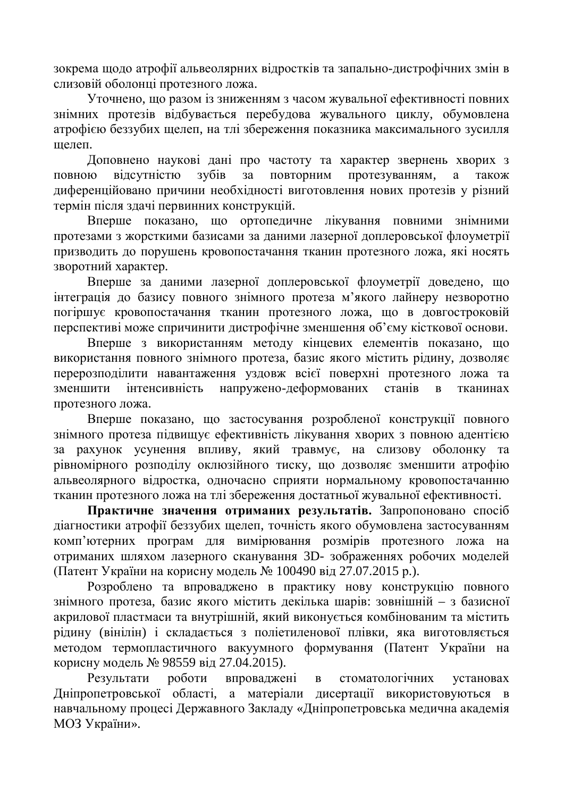зокрема щодо атрофії альвеолярних відростків та запально-дистрофічних змін в слизовій оболонці протезного ложа.

Уточнено, що разом із зниженням з часом жувальної ефективності повних знімних протезів відбувається перебудова жувального циклу, обумовлена атрофією беззубих щелеп, на тлі збереження показника максимального зусилля шепеп

Доповнено наукові дані про частоту та характер звернень хворих з повною відсутністю зубів за повторним протезуванням, а також диференційовано причини необхідності виготовлення нових протезів у різний термін після здачі первинних конструкцій.

Вперше показано, що ортопедичне лікування повними знімними протезами з жорсткими базисами за даними лазерної доплеровської флоуметрії призводить до порушень кровопостачання тканин протезного ложа, які носять зворотний характер.

Вперше за даними лазерної доплеровської флоуметрії доведено, що інтеграція до базису повного знімного протеза м'якого лайнеру незворотно погіршує кровопостачання тканин протезного ложа, що в довгостроковій перспективі може спричинити дистрофічне зменшення об'єму кісткової основи.

Вперше з використанням методу кінцевих елементів показано, що використання повного знімного протеза, базис якого містить рідину, дозволяє перерозподілити навантаження уздовж всієї поверхні протезного ложа та зменшити інтенсивність напружено-деформованих станів в тканинах протезного ложа.

Вперше показано, що застосування розробленої конструкції повного знімного протеза підвищує ефективність лікування хворих з повною адентією за рахунок усунення впливу, який травмує, на слизову оболонку та рівномірного розподілу оклюзійного тиску, що дозволяє зменшити атрофію альвеолярного відростка, одночасно сприяти нормальному кровопостачанню тканин протезного ложа на тлі збереження достатньої жувальної ефективності.

Практичне значення отриманих результатів. Запропоновано спосіб діагностики атрофії беззубих щелеп, точність якого обумовлена застосуванням комп'ютерних програм для вимірювання розмірів протезного ложа на отриманих шляхом лазерного сканування 3D- зображеннях робочих моделей (Патент України на корисну модель № 100490 від 27.07.2015 р.).

Розроблено та впроваджено в практику нову конструкцію повного знімного протеза, базис якого містить декілька шарів: зовнішній - з базисної акрилової пластмаси та внутрішній, який виконується комбінованим та містить рідину (вінілін) і складається з поліетиленової плівки, яка виготовляється методом термопластичного вакуумного формування (Патент України на корисну модель № 98559 від 27.04.2015).

Результати роботи впроваджені в стоматологічних установах Дніпропетровської області, а матеріали дисертації використовуються в навчальному процесі Державного Закладу «Дніпропетровська медична академія МОЗ України».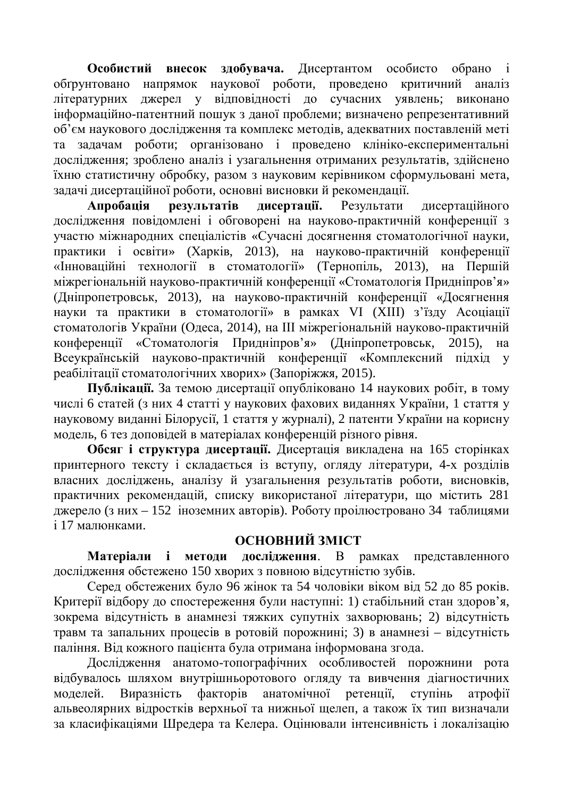Особистий внесок здобувача. Дисертантом особисто обрано обґрунтовано напрямок наукової роботи, проведено критичний аналіз літературних джерел у відповідності до сучасних уявлень; виконано інформаційно-патентний пошук з даної проблеми; визначено репрезентативний об'єм наукового дослідження та комплекс методів, адекватних поставленій меті та задачам роботи; організовано і проведено клініко-експериментальні дослідження; зроблено аналіз і узагальнення отриманих результатів, здійснено їхню статистичну обробку, разом з науковим керівником сформульовані мета, задачі дисертаційної роботи, основні висновки й рекомендації.

Апробація результатів дисертації. Результати дисертаційного дослідження повідомлені і обговорені на науково-практичній конференції з участю міжнародних спеціалістів «Сучасні досягнення стоматологічної науки, практики і освіти» (Харків, 2013), на науково-практичній конференції «Інноваційні технології в стоматології» (Тернопіль, 2013), на Першій міжрегіональній науково-практичній конференції «Стоматологія Придніпров'я» (Дніпропетровськ, 2013), на науково-практичній конференції «Досягнення науки та практики в стоматології» в рамках VI (XIII) з'їзду Асоціації стоматологів України (Одеса, 2014), на III міжрегіональній науково-практичній конференції «Стоматологія Придніпров'я» (Дніпропетровськ, 2015), на Всеукраїнській науково-практичній конференції «Комплексний підхід у реабілітації стоматологічних хворих» (Запоріжжя, 2015).

Публікації. За темою дисертації опубліковано 14 наукових робіт, в тому числі 6 статей (з них 4 статті у наукових фахових виданнях України, 1 стаття у науковому виданні Білорусії, 1 стаття у журналі), 2 патенти України на корисну модель, 6 тез доповідей в матеріалах конференцій різного рівня.

Обсяг і структура дисертації. Дисертація викладена на 165 сторінках принтерного тексту і складається із вступу, огляду літератури, 4-х розділів власних досліджень, аналізу й узагальнення результатів роботи, висновків, практичних рекомендацій, списку використаної літератури, що містить 281 джерело (з них – 152 іноземних авторів). Роботу проілюєтровано 34 таблицями і 17 малюнками.

## **ОСНОВНИЙ ЗМІСТ**

**Матеріали і метоли дослідження.** В рамках представленного дослідження обстежено 150 хворих з повною відсутністю зубів.

Серел обстежених було 96 жінок та 54 чоловіки віком віл 52 ло 85 років. Критерії відбору до спостереження були наступні: 1) стабільний стан здоров'я, зокрема відсутність в анамнезі тяжких супутніх захворювань; 2) відсутність травм та запальних процесів в ротовій порожнині; 3) в анамнезі – відсутність паління. Віл кожного пацієнта була отримана інформована згола.

Дослідження анатомо-топографічних особливостей порожнини рота відбувалось шляхом внутрішньоротового огляду та вивчення діагностичних моделей. Виразність факторів анатомічної ретенції, ступінь атрофії альвеолярних відростків верхньої та нижньої щелеп, а також їх тип визначали за класифікаціями Шредера та Келера. Оцінювали інтенсивність і локалізацію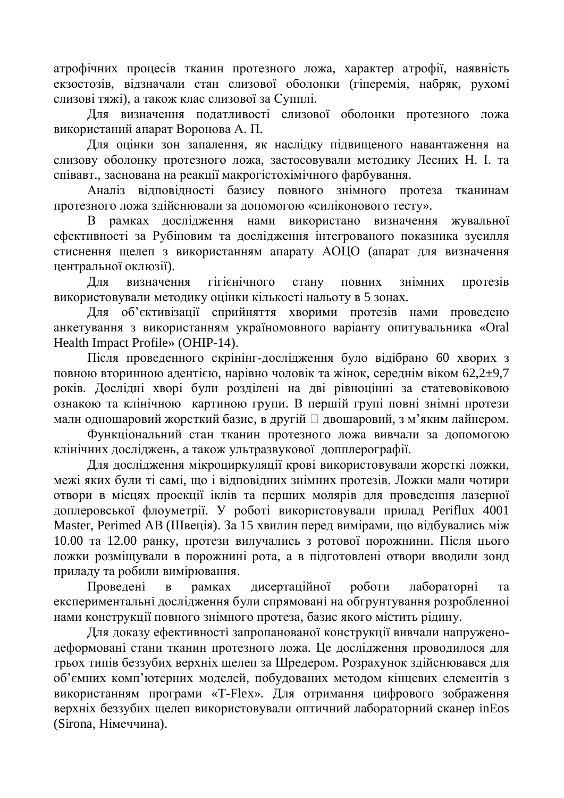атрофічних процесів тканин протезного ложа, характер атрофії, наявність екзостозів, відзначали стан слизової оболонки (гіперемія, набряк, рухомі слизові тяжі), а також клас слизової за Супплі.

Для визначення податливості слизової оболонки протезного ложа використаний апарат Воронова А. П.

Для оцінки зон запалення, як наслідку підвищеного навантаження на слизову оболонку протезного ложа, застосовували методику Лесних Н. І. та співавт., заснована на реакції макрогістохімічного фарбування.

Аналіз відповідності базису повного знімного протеза тканинам протезного ложа здійснювали за допомогою «силіконового тесту».

В рамках дослідження нами використано визначення жувальної ефективності за Рубіновим та дослідження інтегрованого показника зусилля стиснення щелеп з використанням апарату АОЦО (апарат для визначення центральної оклюзії).

Для визначення гігієнічного стану повних знімних протезів використовували методику оцінки кількості нальоту в 5 зонах.

Для об'єктивізації сприйняття хворими протезів нами проведено анкетування з використанням україномовного варіанту опитувальника «Oral Health Impact Profile» (OHIP-14).

Після проведенного скрінінг-дослідження було відібрано 60 хворих з повною вторинною адентією, нарівно чоловік та жінок, середнім віком 62,2±9,7 років. Дослідні хворі були розділені на дві рівноцінні за статевовіковою ознакою та клінічною картиною групи. В першій групі повні знімні протези мали одношаровий жорсткий базис, в другій Пдвошаровий, з м'яким лайнером.

Функціональний стан тканин протезного ложа вивчали за допомогою клінічних досліджень, а також ультразвукової допплерографії.

Для дослідження мікроциркуляції крові використовували жорсткі ложки, межі яких були ті самі, що і відповідних знімних протезів. Ложки мали чотири отвори в місцях проекції іклів та перших молярів для проведення лазерної доплеровської флоуметрії. У роботі використовували прилад Periflux 4001 Master, Perimed AB (Швеція). За 15 хвилин перед вимірами, що відбувались між 10.00 та 12.00 ранку, протези вилучались з ротової порожнини. Після цього ложки розміщували в порожнині рота, а в підготовлені отвори вводили зонд приладу та робили вимірювання.

Провелені в рамках лисертаційної роботи лабораторні та експериментальні дослідження були спрямовані на обгрунтування розробленноі нами конструкції повного знімного протеза, базис якого містить рідину.

Для доказу ефективності запропанованої конструкції вивчали напруженодеформовані стани тканин протезного ложа. Це дослідження проводилося для трьох типів беззубих верхніх щелеп за Шредером. Розрахунок здійснювався для об'ємних комп'ютерних моделей, побудованих методом кінцевих елементів з використанням програми «T-Flex». Для отримання цифрового зображення верхніх беззубих щелеп використовували оптичний лабораторний сканер inEos (Sirona, Німеччина).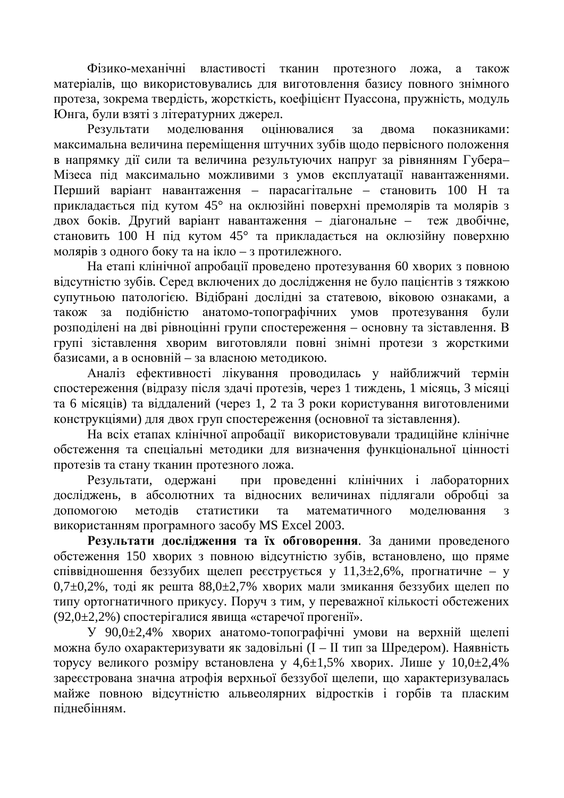Фізико-механічні властивості тканин протезного ложа, а також матеріалів, що використовувались для виготовлення базису повного знімного протеза, зокрема твердість, жорсткість, коефіцієнт Пуассона, пружність, модуль Юнга, були взяті з літературних джерел.

Результати моделювання оцінювалися за двома показниками: максимальна величина переміщення штучних зубів щодо первісного положення в напрямку дії сили та величина результуючих напруг за рівнянням Губера-Мізеса під максимально можливими з умов експлуатації навантаженнями. Перший варіант навантаження – парасагітальне – становить 100 Н та прикладається під кутом 45° на оклюзійні поверхні премолярів та молярів з двох боків. Другий варіант навантаження – діагональне – теж двобічне, становить 100 H під кутом 45° та прикладається на оклюзійну поверхню молярів з одного боку та на ікло – з протилежного.

На етапі клінічної апробації проведено протезування 60 хворих з повною відсутністю зубів. Серед включених до дослідження не було пацієнтів з тяжкою супутньою патологією. Відібрані дослідні за статевою, віковою ознаками, а також за подібністю анатомо-топографічних умов протезування були розподілені на дві рівноцінні групи спостереження – основну та зіставлення. В групі зіставлення хворим виготовляли повні знімні протези з жорсткими базисами, а в основній – за власною методикою.

Аналіз ефективності лікування проводилась у найближчий термін спостереження (відразу після здачі протезів, через 1 тиждень, 1 місяць, 3 місяці та 6 місяців) та віддалений (через 1, 2 та 3 роки користування виготовленими конструкціями) для двох груп спостереження (основної та зіставлення).

На всіх етапах клінічної апробації використовували традиційне клінічне обстеження та спеціальні методики для визначення функціональної цінності протезів та стану тканин протезного ложа.

Результати, одержані при проведенні клінічних і лабораторних досліджень, в абсолютних та відносних величинах підлягали обробці за допомогою методів статистики та математичного моделювання з використанням програмного засобу MS Excel 2003.

Результати дослідження та їх обговорення. За даними проведеного обстеження 150 хворих з повною відсутністю зубів, встановлено, що пряме співвідношення беззубих щелеп реєструється у 11,3 $\pm$ 2,6%, прогнатичне – у  $0.7\pm0.2\%$ , тоді як решта 88,0 $\pm2.7\%$  хворих мали змикання беззубих щелеп по типу ортогнатичного прикусу. Поруч з тим, у переважної кількості обстежених  $(92.0±2.2%)$  спостерігалися явища «старечої прогенії».

У 90,0 $\pm$ 2,4% хворих анатомо-топографічні умови на верхній щелепі можна було охарактеризувати як заловільні (І – ІІ тип за Шредером). Наявність торусу великого розміру встановлена у 4,6 $\pm$ 1,5% хворих. Лише у 10,0 $\pm$ 2,4% зареєстрована значна атрофія верхньої беззубої щелепи, що характеризувалась майже повною відсутністю альвеолярних відростків і горбів та пласким піднебінням.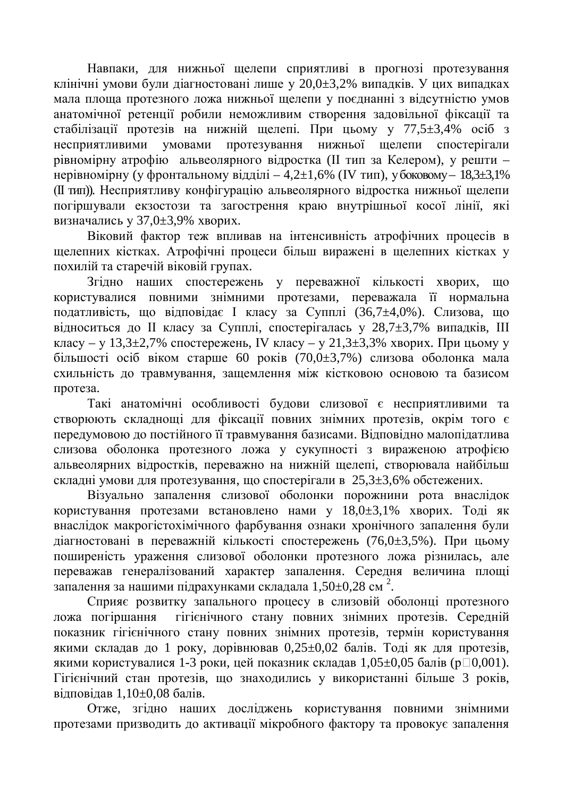Навпаки, для нижньої щелепи сприятливі в прогнозі протезування клінічні умови були діагностовані лише у 20,0 $\pm$ 3,2% випадків. У цих випадках мала площа протезного ложа нижньої щелепи у поєднанні з відсутністю умов анатомічної ретенції робили неможливим створення задовільної фіксації та стабілізації протезів на нижній щелепі. При цьому у 77,5 $\pm$ 3,4% осіб з несприятливими умовами протезування нижньої щелепи спостерігали рівномірну атрофію альвеолярного відростка (II тип за Келером), у решти – нерівномірну (у фронтальному відділі – 4,2 $\pm$ 1,6% (IV тип), у боковому – 18,3 $\pm$ 3,1% (II тип)). Несприятливу конфігурацію альвеолярного відростка нижньої щелепи погіршували екзостози та загострення краю внутрішньої косої лінії, які визначались у  $37,0\pm3,9\%$  хворих.

Віковий фактор теж впливав на інтенсивність атрофічних процесів в щелепних кістках. Атрофічні процеси більш виражені в щелепних кістках у похилій та старечій віковій групах.

Згідно наших спостережень у переважної кількості хворих, що користувалися повними знімними протезами, переважала її нормальна податливість, що відповідає І класу за Супплі (36,7 $\pm$ 4,0%). Слизова, що відноситься до II класу за Супплі, спостерігалась у 28,7 $\pm$ 3,7% випадків, III класу – у 13,3 $\pm$ 2,7% спостережень, IV класу – у 21,3 $\pm$ 3,3% хворих. При цьому у більшості осіб віком старше 60 років (70,0 $\pm$ 3,7%) слизова оболонка мала схильність до травмування, защемлення між кістковою основою та базисом протеза.

Такі анатомічні особливості будови слизової є несприятливими та створюють складнощі для фіксації повних знімних протезів, окрім того є передумовою до постійного її травмування базисами. Відповідно малопідатлива слизова оболонка протезного ложа у сукупності з вираженою атрофією альвеолярних відростків, переважно на нижній щелепі, створювала найбільш складні умови для протезування, що спостерігали в 25,3±3,6% обстежених.

Візуально запалення слизової оболонки порожнини рота внаслідок користування протезами встановлено нами у  $18,0±3,1%$  хворих. Тоді як внаслідок макрогістохімічного фарбування ознаки хронічного запалення були діагностовані в переважній кількості спостережень (76,0±3,5%). При цьому поширеність ураження слизової оболонки протезного ложа різнилась, але переважав генералізований характер запалення. Середня величина площі запалення за нашими підрахунками складала 1,50 $\pm$ 0,28 см<sup>2</sup>.

Сприяє розвитку запального процесу в слизовій оболонці протезного ложа погіршання гігієнічного стану повних знімних протезів. Середній показник гігієнічного стану повних знімних протезів, термін користування якими складав до 1 року, дорівнював  $0.25 \pm 0.02$  балів. Тоді як для протезів, якими користувалися 1-3 роки, цей показник складав  $1,05\pm0,05$  балів ( $p\Box 0,001$ ). Гігієнічний стан протезів, що знаходились у використанні більше 3 років, вілповілав  $1.10\pm0.08$  балів.

Отже, згідно наших досліджень користування повними знімними протезами призводить до активації мікробного фактору та провокує запалення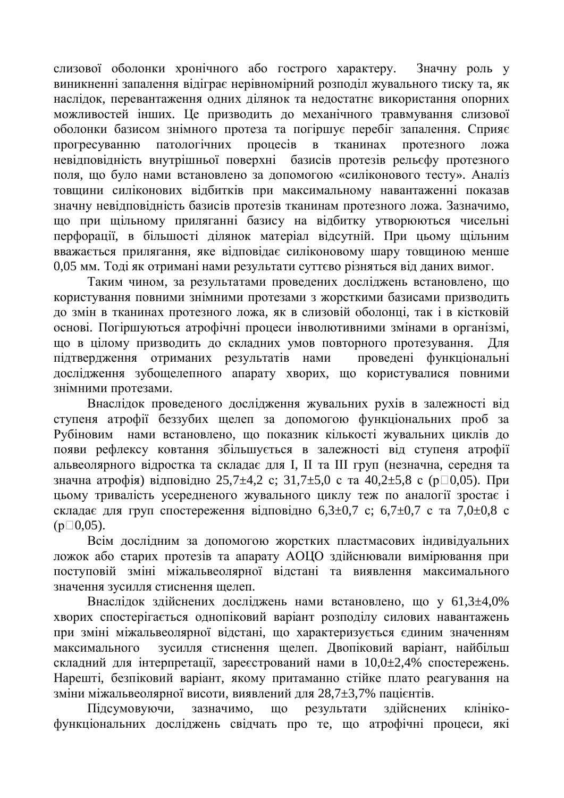слизової оболонки хронічного або гострого характеру. Значну роль у виникненні запалення відіграє нерівномірний розподіл жувального тиску та, як наслідок, перевантаження одних ділянок та недостатнє використання опорних можливостей інших. Це призводить до механічного травмування слизової оболонки базисом знімного протеза та погіршує перебіг запалення. Сприяє прогресуванню патологічних процесів в тканинах протезного ложа невідповідність внутрішньої поверхні базисів протезів рельєфу протезного поля, що було нами встановлено за допомогою «силіконового тесту». Аналіз товщини силіконових відбитків при максимальному навантаженні показав значну невідповідність базисів протезів тканинам протезного ложа. Зазначимо, що при щільному приляганні базису на відбитку утворюються чисельні перфорації, в більшості ділянок матеріал відсутній. При цьому щільним вважається прилягання, яке відповідає силіконовому шару товщиною менше 0,05 мм. Тоді як отримані нами результати суттєво різняться від даних вимог.

Таким чином, за результатами проведених досліджень встановлено, що користування повними знімними протезами з жорсткими базисами призводить до змін в тканинах протезного ложа, як в слизовій оболонці, так і в кістковій основі. Погіршуються атрофічні процеси інволютивними змінами в організмі, що в цілому призводить до складних умов повторного протезування. Для підтвердження отриманих результатів нами проведені функціональні дослідження зубощелепного апарату хворих, що користувалися повними знімними протезами.

Внаслідок проведеного дослідження жувальних рухів в залежності від ступеня атрофії беззубих щелеп за допомогою функціональних проб за Рубіновим нами встановлено, що показник кількості жувальних циклів до появи рефлексу ковтання збільшується в залежності від ступеня атрофії альвеолярного відростка та складає для I, II та III груп (незначна, середня та значна атрофія) відповідно 25,7 $\pm$ 4,2 c; 31,7 $\pm$ 5,0 с та 40,2 $\pm$ 5,8 с (р $\Box$ 0,05). При цьому тривалість усередненого жувального циклу теж по аналогії зростає і складає для груп спостереження відповідно 6,3 $\pm$ 0,7 с; 6,7 $\pm$ 0,7 с та 7,0 $\pm$ 0,8 с  $(p \Box 0, 05)$ .

Всім дослідним за допомогою жорстких пластмасових індивідуальних ложок або старих протезів та апарату АОЦО здійснювали вимірювання при поступовій зміні міжальвеолярної відстані та виявлення максимального значення зусилля стиснення шелеп.

Внаслідок здійснених досліджень нами встановлено, що у 61,3±4,0% хворих спостерігається однопіковий варіант розподілу силових навантажень при зміні міжальвеолярної відстані, що характеризується єдиним значенням максимального зусилля стиснення шелеп. Лвопіковий варіант, найбільш складний для інтерпретації, зареєстрований нами в 10,0±2,4% спостережень. Нарешті, безпіковий варіант, якому притаманно стійке плато реагування на зміни міжальвеолярної висоти, виявлений для 28,7±3,7% пацієнтів.

Підсумовуючи, зазначимо, що результати здійснених клінікофункціональних досліджень свідчать про те, що атрофічні процеси, які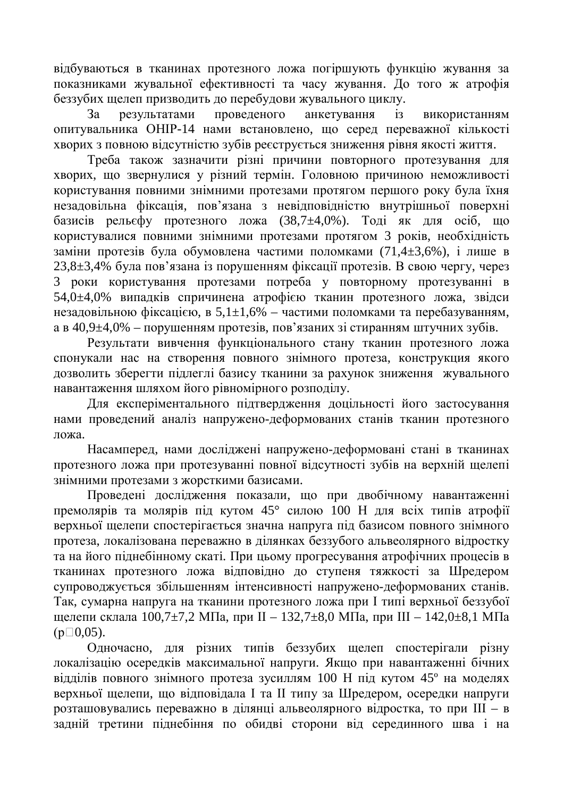відбуваються в тканинах протезного ложа погіршують функцію жування за показниками жувальної ефективності та часу жування. До того ж атрофія беззубих щелеп призводить до перебудови жувального циклу.

За результатами проведеного анкетування із використанням опитувальника ОНІР-14 нами встановлено, що серед переважної кількості хворих з повною відсутністю зубів реєструється зниження рівня якості життя.

Треба також зазначити різні причини повторного протезування для хворих, що звернулися у різний термін. Головною причиною неможливості користування повними знімними протезами протягом першого року була їхня незадовільна фіксація, пов'язана з невідповідністю внутрішньої поверхні базисів рельєфу протезного ложа (38,7±4,0%). Тоді як для осіб, що користувалися повними знімними протезами протягом 3 років, необхідність заміни протезів була обумовлена частими поломками (71,4±3,6%), і лише в  $23.8\pm3.4\%$  була пов'язана із порушенням фіксації протезів. В свою чергу, через 3 роки користування протезами потреба у повторному протезуванні в 54,0 $\pm$ 4,0% випадків спричинена атрофією тканин протезного ложа, звідси незадовільною фіксацією, в 5,1 $\pm$ 1,6% – частими поломками та перебазуванням, а в 40,9 $\pm$ 4,0% – порушенням протезів, пов'язаних зі стиранням штучних зубів.

Результати вивчення функціонального стану тканин протезного ложа спонукали нас на створення повного знімного протеза, конструкция якого дозволить зберегти підлеглі базису тканини за рахунок зниження жувального навантаження шляхом його рівномірного розподілу.

Для експеріментального підтвердження доцільності його застосування нами проведений аналіз напружено-деформованих станів тканин протезного пожа.

Насамперед, нами досліджені напружено-деформовані стані в тканинах протезного ложа при протезуванні повної відсутності зубів на верхній щелепі знімними протезами з жорсткими базисами.

Проведені дослідження показали, що при двобічному навантаженні премолярів та молярів під кутом 45° силою 100 H для всіх типів атрофії верхньої щелепи спостерігається значна напруга під базисом повного знімного протеза, локалізована переважно в ділянках беззубого альвеолярного відростку та на його піднебінному скаті. При цьому прогресування атрофічних процесів в тканинах протезного ложа відповідно до ступеня тяжкості за Шредером супроводжується збільшенням інтенсивності напружено-леформованих станів. Так, сумарна напруга на тканини протезного ложа при I типі верхньої беззубої щелепи склала 100,7 $\pm$ 7,2 МПа, при II – 132,7 $\pm$ 8,0 МПа, при III – 142,0 $\pm$ 8,1 МПа  $(p \Box 0, 05)$ .

Олночасно, лля різних типів беззубих шелеп спостерігали різну локалізацію осередків максимальної напруги. Якщо при навантаженні бічних відділів повного знімного протеза зусиллям 100 H під кутом 45° на моделях верхньої щелепи, що відповідала I та II типу за Шредером, осередки напруги розташовувались переважно в ділянці альвеолярного відростка, то при III - в задній третини піднебіння по обидві сторони від серединного шва і на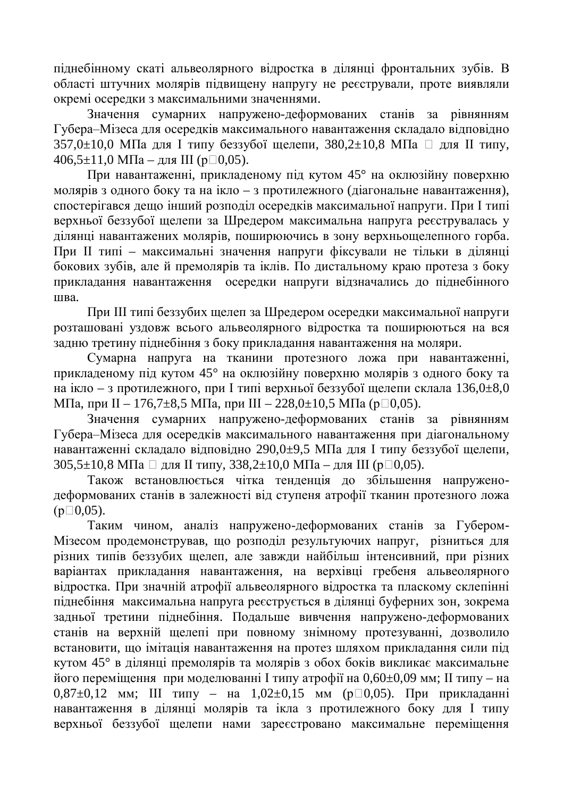піднебінному скаті альвеолярного відростка в ділянці фронтальних зубів. В області штучних молярів підвищену напругу не реєстрували, проте виявляли окремі осередки з максимальними значеннями.

Значення сумарних напружено-деформованих станів за рівнянням Губера-Мізеса для осередків максимального навантаження складало відповідно  $357,0\pm10,0$  МПа для I типу беззубої щелепи,  $380,2\pm10,8$  МПа  $\Box$  для II типу, 406,5 $\pm$ 11,0 МПа – для III (р $\Box$ 0,05).

При навантаженні, прикладеному під кутом 45° на оклюзійну поверхню молярів з одного боку та на ікло – з протилежного (діагональне навантаження), спостерігався дещо інший розподіл осередків максимальної напруги. При І типі верхньої беззубої щелепи за Шредером максимальна напруга реєструвалась у ділянці навантажених молярів, поширюючись в зону верхньощелепного горба. При II типі – максимальні значення напруги фіксували не тільки в ділянці бокових зубів, але й премолярів та іклів. По дистальному краю протеза з боку прикладання навантаження осередки напруги відзначались до піднебінного una.

При III типі беззубих щелеп за Шредером осередки максимальної напруги розташовані уздовж всього альвеолярного відростка та поширюються на вся задню третину піднебіння з боку прикладання навантаження на моляри.

Сумарна напруга на тканини протезного ложа при навантаженні. прикладеному під кутом 45° на оклюзійну поверхню молярів з одного боку та на ікло – з протилежного, при І типі верхньої беззубої щелепи склала 136,0 $\pm$ 8,0 МПа, при II – 176,7±8,5 МПа, при III – 228,0±10,5 МПа (р□0,05).

Значення сумарних напружено-деформованих станів за рівнянням Губера-Мізеса для осередків максимального навантаження при діагональному навантаженні складало відповідно 290,0±9,5 МПа для І типу беззубої щелепи, 305,5 $\pm$ 10,8 МПа  $\Box$  для II типу, 338,2 $\pm$ 10,0 МПа – для III ( $p$  $\Box$ 0,05).

Також встановлюється чітка тенденція до збільшення напруженодеформованих станів в залежності від ступеня атрофії тканин протезного ложа  $(p \Box 0, 05)$ .

Таким чином, аналіз напружено-деформованих станів за Губером-Мізесом продемонстрував, що розподіл результуючих напруг, різниться для різних типів беззубих щелеп, але завжди найбільш інтенсивний, при різних варіантах прикладання навантаження, на верхівці гребеня альвеолярного відростка. При значній атрофії альвеолярного відростка та пласкому склепінні піднебіння максимальна напруга реєструється в ділянці буферних зон, зокрема задньої третини піднебіння. Подальше вивчення напружено-деформованих станів на верхній щелепі при повному знімному протезуванні, дозволило встановити, шо імітація навантаження на протез шляхом прикладання сили під кутом  $45^{\circ}$  в ділянці премолярів та молярів з обох боків викликає максимальне його переміщення при моделюванні І типу атрофії на 0,60±0,09 мм; ІІ типу – на  $0.87\pm0.12$  MM; III ТИПУ – НА  $1.02\pm0.15$  MM ( $p\Box 0.05$ ). При прикладанні навантаження в ділянці молярів та ікла з протилежного боку для I типу верхньої беззубої щелепи нами зареєстровано максимальне переміщення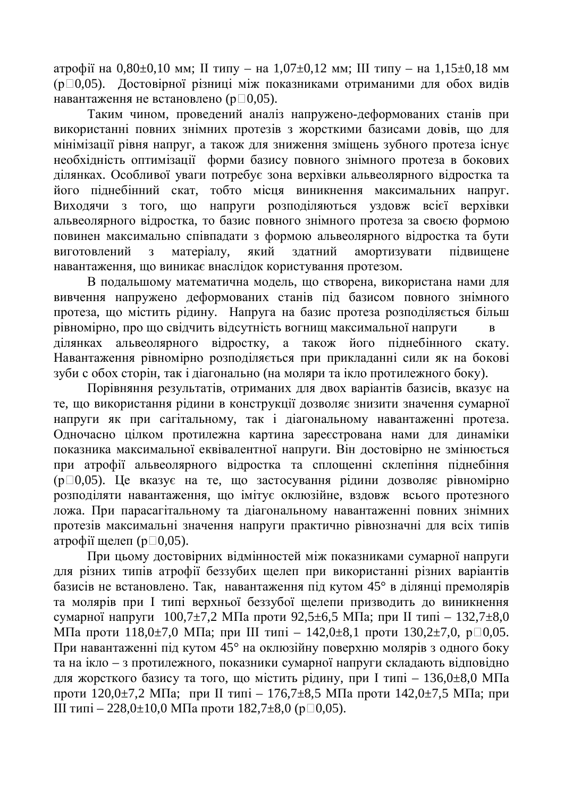атрофії на 0,80 $\pm$ 0,10 мм; II типу – на 1,07 $\pm$ 0,12 мм; III типу – на 1,15 $\pm$ 0,18 мм (p□0,05). Достовірної різниці між показниками отриманими для обох видів навантаження не встановлено ( $p \Box 0.05$ ).

Таким чином, проведений аналіз напружено-деформованих станів при використанні повних знімних протезів з жорсткими базисами довів, що для мінімізації рівня напруг, а також для зниження зміщень зубного протеза існує необхідність оптимізації форми базису повного знімного протеза в бокових ділянках. Особливої уваги потребує зона верхівки альвеолярного відростка та його піднебінний скат, тобто місця виникнення максимальних напруг. Виходячи з того, що напруги розподіляються уздовж всієї верхівки альвеолярного відростка, то базис повного знімного протеза за своєю формою повинен максимально співпадати з формою альвеолярного відростка та бути виготовлений з матеріалу, який здатний амортизувати підвищене навантаження, що виникає внаслідок користування протезом.

В подальшому математична модель, що створена, використана нами для вивчення напружено деформованих станів під базисом повного знімного протеза, що містить рідину. Напруга на базис протеза розподіляється більш рівномірно, про що свідчить відсутність вогнищ максимальної напруги в ділянках альвеолярного відростку, а також його піднебінного скату. Навантаження рівномірно розподіляється при прикладанні сили як на бокові зуби с обох сторін, так і діагонально (на моляри та ікло протилежного боку).

Порівняння результатів, отриманих для двох варіантів базисів, вказує на те, що використання рідини в конструкції дозволяє знизити значення сумарної напруги як при сагітальному, так і діагональному навантаженні протеза. Одночасно цілком протилежна картина зареєстрована нами для динаміки показника максимальної еквівалентної напруги. Він достовірно не змінюється при атрофії альвеолярного відростка та сплощенні склепіння піднебіння  $(p \Box 0,05)$ . Це вказує на те, що застосування рідини дозволяє рівномірно розподіляти навантаження, що імітує оклюзійне, вздовж всього протезного ложа. При парасагітальному та діагональному навантаженні повних знімних протезів максимальні значення напруги практично рівнозначні для всіх типів атрофії щелеп ( $p \Box 0,05$ ).

При шьому достовірних відмінностей між показниками сумарної напруги для різних типів атрофії беззубих щелеп при використанні різних варіантів базисів не встановлено. Так, навантаження під кутом 45° в ділянці премолярів та молярів при I типі верхньої беззубої щелепи призводить до виникнення сумарної напруги  $100,7\pm7,2$  МПа проти 92,5 $\pm6,5$  МПа; при II типі – 132,7 $\pm8,0$ МПа проти 118,0±7,0 МПа; при III типі – 142,0±8,1 проти 130,2±7,0, р□0,05. При навантаженні під кутом 45° на оклюзійну поверхню молярів з одного боку та на ікло – з протилежного, показники сумарної напруги складають відповідно для жорсткого базису та того, що містить рідину, при І типі – 136,0 $\pm$ 8,0 МПа проти 120,0 $\pm$ 7,2 МПа; при II типі – 176,7 $\pm$ 8,5 МПа проти 142,0 $\pm$ 7,5 МПа; при Ш типі – 228,0 $\pm$ 10,0 МПа проти 182,7 $\pm$ 8,0 (р $\Box$ 0,05).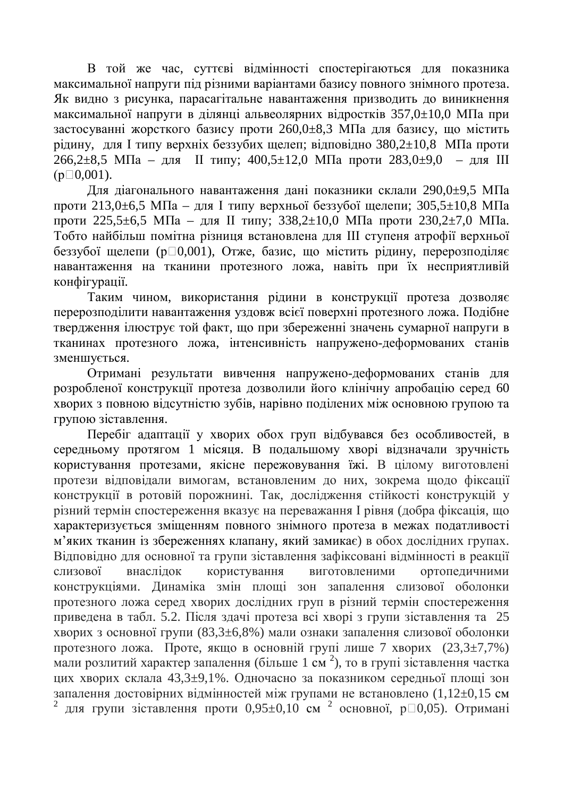В той же час, суттєві відмінності спостерігаються для показника максимальної напруги під різними варіантами базису повного знімного протеза. Як видно з рисунка, парасагітальне навантаження призводить до виникнення максимальної напруги в ділянці альвеолярних відростків 357,0±10,0 МПа при застосуванні жорсткого базису проти 260,0 $\pm$ 8,3 МПа для базису, що містить рідину, для I типу верхніх беззубих щелеп; відповідно 380,2 $\pm$ 10,8 МПа проти  $266,2\pm8,5$  МПа – для II типу;  $400,5\pm12,0$  МПа проти  $283,0\pm9,0$  – для III  $(p \Box 0, 001)$ .

Для діагонального навантаження дані показники склали 290,0±9,5 МПа проти 213,0 $\pm$ 6,5 МПа – для I типу верхньої беззубої щелепи; 305,5 $\pm$ 10,8 МПа проти 225,5 $\pm$ 6,5 МПа – для II типу; 338,2 $\pm$ 10,0 МПа проти 230,2 $\pm$ 7,0 МПа. Тобто найбільш помітна різниця встановлена для III ступеня атрофії верхньої беззубої щелепи (р□0,001), Отже, базис, що містить рідину, перерозподіляє навантаження на тканини протезного ложа, навіть при їх несприятливій конфігурації.

Таким чином, використання рідини в конструкції протеза дозволяє перерозподілити навантаження уздовж всієї поверхні протезного ложа. Подібне твердження ілюструє той факт, що при збереженні значень сумарної напруги в тканинах протезного ложа, інтенсивність напружено-деформованих станів зменшується.

Отримані результати вивчення напружено-деформованих станів для розробленої конструкції протеза дозволили його клінічну апробацію серед 60 хворих з повною відсутністю зубів, нарівно поділених між основною групою та групою зіставлення.

Перебіг адаптації у хворих обох груп відбувався без особливостей, в середньому протягом 1 місяця. В подальшому хворі відзначали зручність користування протезами, якісне пережовування їжі. В цілому виготовлені протези відповідали вимогам, встановленим до них, зокрема щодо фіксації конструкції в ротовій порожнині. Так, дослідження стійкості конструкцій у різний термін спостереження вказує на переважання І рівня (добра фіксація, що характеризується зміщенням повного знімного протеза в межах податливості м'яких тканин із збереженнях клапану, який замикає) в обох дослідних групах. Відповідно для основної та групи зіставлення зафіксовані відмінності в реакції слизової внаслідок користування виготовленими ортопедичними конструкціями. Линаміка змін плоші зон запалення слизової оболонки протезного ложа серед хворих дослідних груп в різний термін спостереження приведена в табл. 5.2. Після здачі протеза всі хворі з групи зіставлення та 25 хворих з основної групи (83,3±6,8%) мали ознаки запалення слизової оболонки протезного ложа. Проте, якщо в основній групі лище 7 хворих (23,3 $\pm$ 7,7%) мали розлитий характер запалення (більше 1 см<sup>2</sup>), то в групі зіставлення частка цих хворих склала 43,3±9,1%. Одночасно за показником середньої площі зон запалення достовірних відмінностей між групами не встановлено (1,12±0,15 см 2 для групи зіставлення проти 0,95 $\pm$ 0,10 см<sup>2</sup> основної, р $\Box$ 0,05). Отримані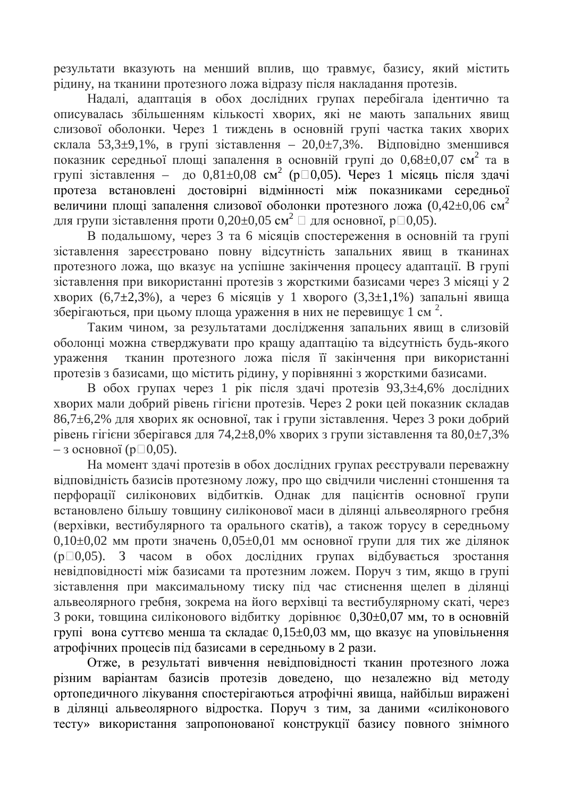результати вказують на менший вплив, що травмує, базису, який містить рідину, на тканини протезного ложа відразу після накладання протезів.

Надалі, адаптація в обох дослідних групах перебігала ідентично та описувалась збільшенням кількості хворих, які не мають запальних явищ слизової оболонки. Через 1 тиждень в основній групі частка таких хворих склала 53,3 $\pm$ 9,1%, в групі зіставлення – 20,0 $\pm$ 7,3%. Відповідно зменшився показник середньої площі запалення в основній групі до 0,68±0,07 см<sup>2</sup> та в групі зіставлення - до 0,81 $\pm$ 0,08 см<sup>2</sup> (р $\Box$ 0,05). Через 1 місяць після здачі протеза встановлені достовірні відмінності між показниками середньої величини площі запалення слизової оболонки протезного ложа (0,42 $\pm$ 0,06 см<sup>2</sup> для групи зіставлення проти 0,20 $\pm$ 0,05 см $^2$   $\Box$  для основної, р $\Box$ 0,05).

В подальшому, через 3 та 6 місяців спостереження в основній та групі зіставлення зареєстровано повну відсутність запальних явищ в тканинах протезного ложа, що вказує на успішне закінчення процесу адаптації. В групі зіставлення при використанні протезів з жорсткими базисами через 3 місяці у 2 хворих (6,7 $\pm$ 2,3%), а через 6 місяців у 1 хворого (3,3 $\pm$ 1,1%) запальні явища зберігаються, при цьому площа ураження в них не перевищує 1 см<sup>2</sup>.

Таким чином, за результатами дослідження запальних явищ в слизовій оболонці можна стверджувати про кращу адаптацію та відсутність будь-якого ураження тканин протезного ложа після її закінчення при використанні протезів з базисами, що містить рідину, у порівнянні з жорсткими базисами.

В обох групах через 1 рік після здачі протезів 93,3 $\pm$ 4,6% дослідних хворих мали добрий рівень гігієни протезів. Через 2 роки цей показник складав 86,7±6,2% для хворих як основної, так і групи зіставлення. Через 3 роки добрий рівень гігієни зберігався для 74,2 $\pm$ 8,0% хворих з групи зіставлення та 80,0 $\pm$ 7,3% – з основної (р $\Box$ 0,05).

На момент здачі протезів в обох дослідних групах реєстрували переважну відповідність базисів протезному ложу, про що свідчили численні стоншення та перфорації силіконових відбитків. Однак для пацієнтів основної групи встановлено більшу товщину силіконової маси в ділянці альвеолярного гребня (верхівки, вестибулярного та орального скатів), а також торусу в середньому  $0,10\pm0,02$  мм проти значень  $0,05\pm0,01$  мм основної групи для тих же ділянок  $(p \Box 0,05)$ . З часом в обох дослідних групах відбувається зростання невідповідності між базисами та протезним ложем. Поруч з тим, якщо в групі зіставлення при максимальному тиску під час стиснення щелеп в ділянці альвеолярного гребня, зокрема на його верхівці та вестибулярному скаті, через 3 роки, товщина силіконового відбитку дорівнює 0,30±0,07 мм, то в основній групі вона суттєво менша та складає 0,15 $\pm$ 0,03 мм, що вказує на уповільнення атрофічних процесів під базисами в середньому в 2 рази.

Отже, в результаті вивчення невідповідності тканин протезного ложа різним варіантам базисів протезів доведено, що незалежно від методу ортопедичного лікування спостерігаються атрофічні явища, найбільш виражені в ділянці альвеолярного відростка. Поруч з тим, за даними «силіконового тесту» використання запропонованої конструкції базису повного знімного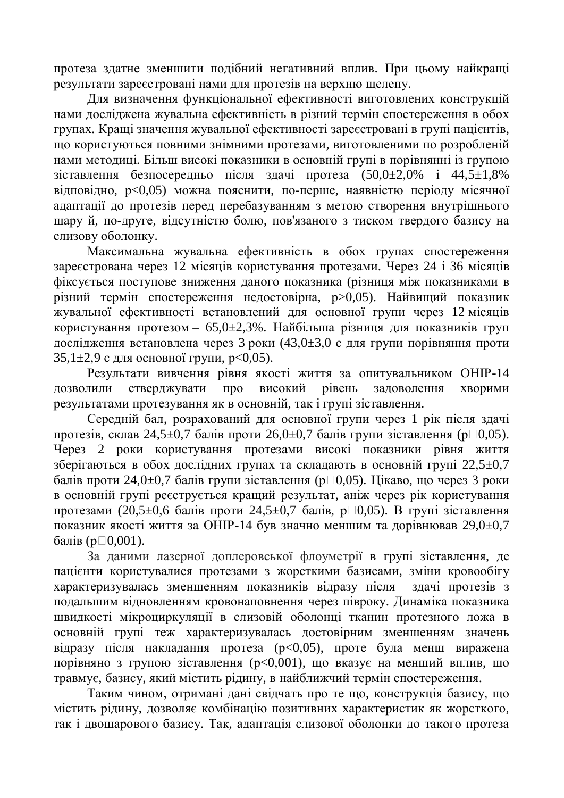протеза здатне зменшити подібний негативний вплив. При цьому найкращі результати зареєстровані нами для протезів на верхню щелепу.

Для визначення функціональної ефективності виготовлених конструкцій нами досліджена жувальна ефективність в різний термін спостереження в обох групах. Кращі значення жувальної ефективності зареєстровані в групі пацієнтів, що користуються повними знімними протезами, виготовленими по розробленій нами методиці. Більш високі показники в основній групі в порівнянні із групою зіставлення безпосередньо після здачі протеза  $(50.0 \pm 2.0\%$  і 44,5 $\pm 1.8\%$ відповідно,  $p<0.05$ ) можна пояснити, по-перше, наявністю періоду місячної адаптації до протезів перед перебазуванням з метою створення внутрішнього шару й, по-друге, відсутністю болю, пов'язаного з тиском твердого базису на слизову оболонку.

Максимальна жувальна ефективність в обох групах спостереження зареєстрована через 12 місяців користування протезами. Через 24 і 36 місяців фіксується поступове зниження даного показника (різниця між показниками в різний термін спостереження недостовірна, р>0,05). Найвищий показник жувальної ефективності встановлений для основної групи через 12 місяців користування протезом – 65,0 $\pm$ 2,3%. Найбільша різниця для показників груп дослідження встановлена через 3 роки (43,0 $\pm$ 3,0 с для групи порівняння проти  $35,1\pm2,9$  с для основної групи,  $p<0,05$ ).

Результати вивчення рівня якості життя за опитувальником ОНІР-14 дозволили стверджувати про високий рівень задоволення хворими результатами протезування як в основній, так і групі зіставлення.

Середній бал, розрахований для основної групи через 1 рік після здачі протезів, склав 24,5 $\pm$ 0,7 балів проти 26,0 $\pm$ 0,7 балів групи зіставлення (р $\pm$ 0,05). Через 2 роки користування протезами високі показники рівня життя зберігаються в обох дослідних групах та складають в основній групі 22,5 $\pm$ 0,7  $\overline{6}$ алів проти 24,0 $\pm$ 0,7 балів групи зіставлення (р $\Box$ 0,05). Цікаво, що через 3 роки в основній групі реєструється кращий результат, аніж через рік користування протезами (20,5 $\pm$ 0,6 балів проти 24,5 $\pm$ 0,7 балів, р $\Box$ 0,05). В групі зіставлення показник якості життя за ОНІР-14 був значно меншим та дорівнював 29,0±0,7  $\delta$ алів (р $\Box$ 0,001).

За даними лазерної доплеровської флоуметрії в групі зіставлення, де пацієнти користувалися протезами з жорсткими базисами, зміни кровообігу характеризувалась зменшенням показників відразу після злачі протезів з подальшим відновленням кровонаповнення через півроку. Динаміка показника швидкості мікроциркуляції в слизовій оболонці тканин протезного ложа в основній групі теж характеризувалась достовірним зменшенням значень відразу після накладання протеза ( $p<0.05$ ), проте була менш виражена порівняно з групою зіставлення (p<0,001), що вказує на менший вплив, що травмує, базису, який містить рідину, в найближчий термін спостереження.

Таким чином, отримані дані свідчать про те що, конструкція базису, що містить рідину, дозволяє комбінацію позитивних характеристик як жорсткого, так і двошарового базису. Так, адаптація слизової оболонки до такого протеза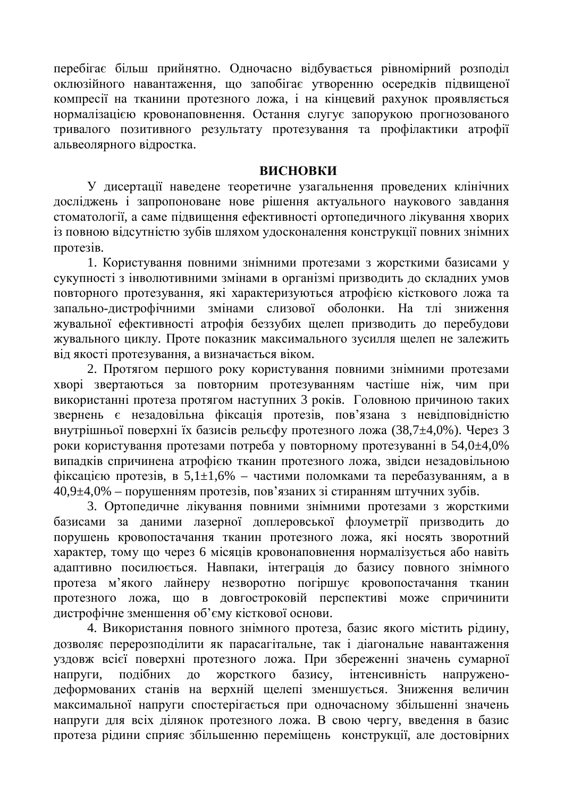перебігає більш прийнятно. Одночасно відбувається рівномірний розподіл оклюзійного навантаження, що запобігає утворенню осередків підвищеної компресії на тканини протезного ложа, і на кінцевий рахунок проявляється нормалізацією кровонаповнення. Остання слугує запорукою прогнозованого тривалого позитивного результату протезування та профілактики атрофії альвеолярного відростка.

### **ВИСНОВКИ**

У дисертації наведене теоретичне узагальнення проведених клінічних досліджень і запропоноване нове рішення актуального наукового завдання стоматології, а саме підвищення ефективності ортопедичного лікування хворих із повною відсутністю зубів шляхом удосконалення конструкції повних знімних протезів.

1. Користування повними знімними протезами з жорсткими базисами у сукупності з інволютивними змінами в організмі призводить до складних умов повторного протезування, які характеризуються атрофією кісткового ложа та запально-дистрофічними змінами слизової оболонки. На тлі зниження жувальної ефективності атрофія беззубих щелеп призводить до перебудови жувального циклу. Проте показник максимального зусилля щелеп не залежить від якості протезування, а визначається віком.

2. Протягом першого року користування повними знімними протезами хворі звертаються за повторним протезуванням частіше ніж, чим при використанні протеза протягом наступних 3 років. Головною причиною таких звернень є незадовільна фіксація протезів, пов'язана з невідповідністю внутрішньої поверхні їх базисів рельєфу протезного ложа (38,7 $\pm$ 4,0%). Через 3 роки користування протезами потреба у повторному протезуванні в 54,0 $\pm$ 4,0% випадків спричинена атрофією тканин протезного ложа, звідси незадовільною фіксацією протезів, в 5,1 $\pm$ 1,6% – частими поломками та перебазуванням, а в  $40,9\pm4,0\%$  – порушенням протезів, пов'язаних зі стиранням штучних зубів.

3. Ортопедичне лікування повними знімними протезами з жорсткими базисами за даними лазерної доплеровської флоуметрії призводить до порушень кровопостачання тканин протезного ложа, які носять зворотний характер, тому що через 6 місяців кровонаповнення нормалізується або навіть адаптивно посилюється. Навпаки, інтеграція до базису повного знімного протеза м'якого лайнеру незворотно погіршує кровопостачання тканин протезного ложа, що в довгостроковій перспективі може спричинити дистрофічне зменшення об'єму кісткової основи.

4. Використання повного знімного протеза, базис якого містить рідину, дозволяє перерозподілити як парасагітальне, так і діагональне навантаження уздовж всієї поверхні протезного ложа. При збереженні значень сумарної напруги, подібних до жорсткого базису, інтенсивність напруженодеформованих станів на верхній щелепі зменшується. Зниження величин максимальної напруги спостерігається при одночасному збільшенні значень напруги для всіх ділянок протезного ложа. В свою чергу, введення в базис протеза рідини сприяє збільшенню переміщень конструкції, але достовірних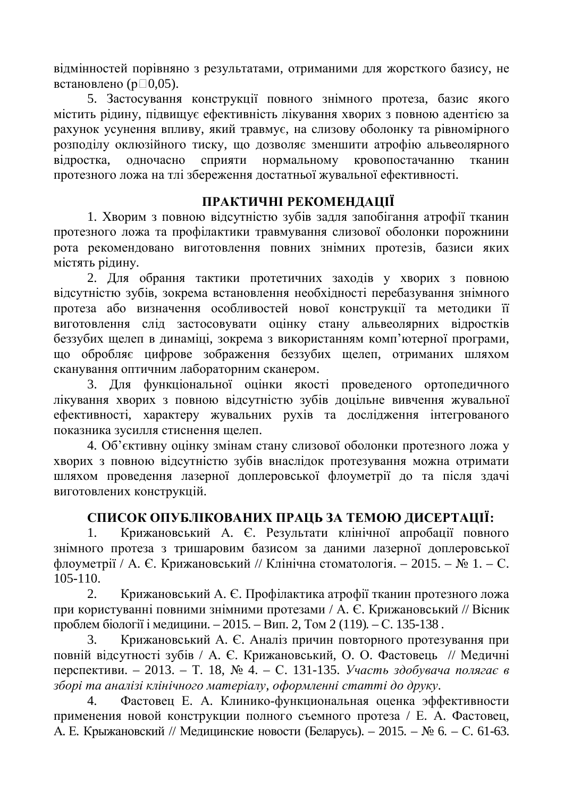відмінностей порівняно з результатами, отриманими для жорсткого базису, не встановлено ( $p \Box 0,05$ ).

5. Застосування конструкції повного знімного протеза, базис якого містить рідину, підвищує ефективність лікування хворих з повною адентією за рахунок усунення впливу, який травмує, на слизову оболонку та рівномірного розподілу оклюзійного тиску, що дозволяє зменшити атрофію альвеолярного відростка, одночасно сприяти нормальному кровопостачанню тканин протезного ложа на тлі збереження достатньої жувальної ефективності.

# ПРАКТИЧНІ РЕКОМЕНДАЦІЇ

1. Хворим з повною відсутністю зубів задля запобігання атрофії тканин протезного ложа та профілактики травмування слизової оболонки порожнини рота рекомендовано виготовлення повних знімних протезів, базиси яких містять рідину.

2. Для обрання тактики протетичних заходів у хворих з повною відсутністю зубів, зокрема встановлення необхідності перебазування знімного протеза або визначення особливостей нової конструкції та методики її виготовлення слід застосовувати оцінку стану альвеолярних відростків беззубих щелеп в динаміці, зокрема з використанням комп'ютерної програми, що обробляє цифрове зображення беззубих щелеп, отриманих шляхом сканування оптичним лабораторним сканером.

3. Для функціональної оцінки якості проведеного ортопедичного лікування хворих з повною відсутністю зубів доцільне вивчення жувальної ефективності, характеру жувальних рухів та дослідження інтегрованого показника зусилля стиснення шелеп.

4. Об'єктивну оцінку змінам стану слизової оболонки протезного ложа у хворих з повною відсутністю зубів внаслідок протезування можна отримати шляхом проведення лазерної доплеровської флоуметрії до та після здачі виготовлених конструкцій.

## СПИСОК ОПУБЛІКОВАНИХ ПРАЦЬ ЗА ТЕМОЮ ДИСЕРТАЦІЇ:

1. Крижановський А. Є. Результати клінічної апробації повного знімного протеза з тришаровим базисом за даними лазерної доплеровської флоуметрії / А. Є. Крижановський // Клінічна стоматологія. – 2015. – № 1. – С. 105-110.

2. Крижановський А. Є. Профілактика атрофії тканин протезного ложа при користуванні повними знімними протезами / А. Є. Крижановський // Вісник проблем біології і медицини. – 2015. – Вип. 2, Том 2 (119). – С. 135-138.

3. Крижановський А. Є. Аналіз причин повторного протезування при повній відсутності зубів / А. Є. Крижановський, О. О. Фастовець // Медичні перспективи. – 2013. – Т. 18, № 4. – С. 131-135. *Участь здобувача полягає в* зборі та аналізі клінічного матеріалу, оформленні статті до друку.

4. Фастовец Е. А. Клинико-функциональная оценка эффективности применения новой конструкции полного съемного протеза / Е. А. Фастовец, А. Е. Крыжановский // Медицинские новости (Беларусь). – 2015. – № 6. – С. 61-63.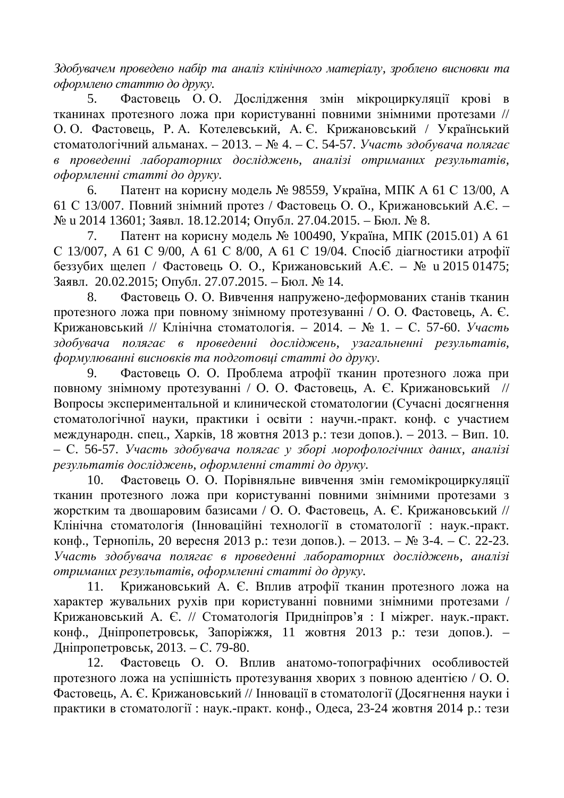$3\delta$ обувачем проведено набір та аналіз клінічного матеріалу, зроблено висновки та  $\alpha$ формлено статтю до друку.

5. Фастовець О. О. Дослідження змін мікроциркуляції крові в тканинах протезного ложа при користуванні повними знімними протезами // О. О. Фастовець, Р. А. Котелевський, А. Є. Крижановський / Український стоматологічний альманах. – 2013. – № 4. – С. 54-57. *Участь здобувача полягає ɜ ɩɪɨɜɟɞɟɧɧɿ ɥɚɛɨɪɚɬɨɪɧɢɯ ɞɨɫɥɿɞɠɟɧɶ, ɚɧɚɥɿɡɿ ɨɬɪɢɦɚɧɢɯ ɪɟɡɭɥɶɬɚɬɿɜ, оформленні статті до друку.* 

6. Патент на корисну модель  $\mathbb{N}$  98559, Україна, МПК А 61 С 13/00, А 61 С 13/007. Повний знімний протез / Фастовець О. О., Крижановський А.Є. – № и 2014 13601; Заявл. 18.12.2014; Опубл. 27.04.2015. – Бюл. № 8.

7. Патент на корисну модель № 100490, Україна, МПК (2015.01) А 61 С 13/007, А 61 С 9/00, А 61 С 8/00, А 61 С 19/04. Спосіб діагностики атрофії беззубих щелеп / Фастовець О. О., Крижановський А.Є. – № и 2015 01475; Заявл. 20.02.2015; Опубл. 27.07.2015. – Бюл. № 14.

8. Фастовець О. О. Вивчення напружено-деформованих станів тканин протезного ложа при повному знімному протезуванні / О. О. Фастовець, А. Є. Крижановський // Клінічна стоматологія. – 2014. – № 1. – С. 57-60. Участь здобувача полягає в проведенні досліджень, узагальненні результатів,  $\phi$ ормулюванні висновків та подготовці статті до друку.

9. Фастовець О. О. Проблема атрофії тканин протезного ложа при повному знімному протезуванні / О. О. Фастовець, А. Є. Крижановський // Вопросы экспериментальной и клинической стоматологии (Сучасні досягнення стоматологічної науки, практики і освіти: научн.-практ. конф. с участием международн. спец., Харків, 18 жовтня 2013 р.: тези допов.). – 2013. – Вип. 10. – ɋ. 56-57. *ɍɱɚɫɬɶ ɡɞɨɛɭɜɚɱɚ ɩɨɥɹɝɚɽ ɭ ɡɛɨɪɿ ɦɨɪɨɮɨɥɨɝɿɱɧɢɯ ɞɚɧɢɯ, ɚɧɚɥɿɡɿ*  $\mu$ езультатів досліджень, оформленні статті до друку.

10. Фастовець О. О. Порівняльне вивчення змін гемомікроциркуляції тканин протезного ложа при користуванні повними знімними протезами з жорстким та двошаровим базисами / О. О. Фастовець, А. Є. Крижановський // Клінічна стоматологія (Інноваційні технології в стоматології : наук.-практ. конф., Тернопіль, 20 вересня 2013 р.: тези допов.). – 2013. – № 3-4. – С. 22-23. **Участь здобувача полягає в проведенні лабораторних досліджень, аналізі утриманих результатів, оформленні статті до друку.** 

11. Крижановський А. Є. Вплив атрофії тканин протезного ложа на характер жувальних рухів при користуванні повними знімними протезами / Крижановський А. Є. // Стоматологія Придніпров'я: І міжрег. наук.-практ. конф., Дніпропетровськ, Запоріжжя, 11 жовтня 2013 р.: тези допов.). – Дніпропетровськ. 2013. – С. 79-80.

12. Фастовець О. О. Вплив анатомо-топографічних особливостей протезного ложа на успішність протезування хворих з повною адентією / О. О. Фастовець, А. Є. Крижановський // Інновації в стоматології (Досягнення науки і практики в стоматології: наук.-практ. конф., Одеса, 23-24 жовтня 2014 р.: тези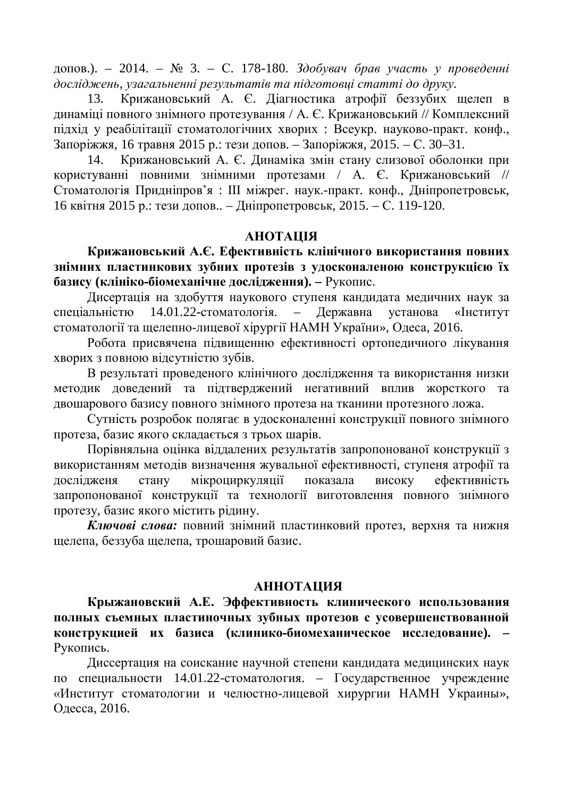допов.). – 2014. – № 3. – С. 178-180. *Здобувач брав участь у проведенні* досліджень, узагальненні результатів та підготовці статті до друку.

13. Крижановський А. Є. Діагностика атрофії беззубих щелеп в динаміці повного знімного протезування / А. Є. Крижановський // Комплексний підхід у реабілітації стоматологічних хворих : Всеукр. науково-практ. конф., Запоріжжя, 16 травня 2015 р.: тези допов. – Запоріжжя, 2015. – С. 30–31.

14. Крижановський А. Є. Динаміка змін стану слизової оболонки при користуванні повними знімними протезами / А. Є. Крижановський // Стоматологія Придніпров'я: Ш міжрег. наук.-практ. конф., Дніпропетровськ, 16 квітня 2015 р.: тези допов.. – Дніпропетровськ, 2015. – С. 119-120.

## **AHOTAIIIA**

Крижановський А.Є. Ефективність клінічного використання повних знімних пластинкових зубних протезів з удосконаленою конструкцією їх **базису** (клініко-біомеханічне дослідження). – Рукопис.

Дисертація на здобуття наукового ступеня кандидата медичних наук за спеціальністю 14.01.22-стоматологія. – Державна установа «Інститут стоматології та щелепно-лицевої хірургії НАМН України», Одеса, 2016.

Робота присвячена підвищенню ефективності ортопедичного лікування хворих з повною відсутністю зубів.

В результаті проведеного клінічного дослідження та використання низки методик доведений та підтверджений негативний вплив жорсткого та двошарового базису повного знімного протеза на тканини протезного ложа.

Сутність розробок полягає в удосконаленні конструкції повного знімного протеза, базис якого складається з трьох шарів.

Порівняльна оцінка віддалених результатів запропонованої конструкції з використанням методів визначення жувальної ефективності, ступеня атрофії та дослідженя стану мікроциркуляції показала високу ефективність запропонованої конструкції та технології виготовлення повного знімного протезу, базис якого містить рідину.

Ключові слова: повний знімний пластинковий протез, верхня та нижня щелепа, беззуба щелепа, трошаровий базис.

### **АННОТАЦИЯ**

Крыжановский А.Е. Эффективность клинического использования полных съемных пластиночных зубных протезов с усовершенствованной конструкцией их базиса (клинико-биомеханическое исследование). -Рукопись.

Диссертация на соискание научной степени кандидата медицинских наук по специальности 14.01.22-стоматология. – Государственное учреждение «Институт стоматологии и челюстно-лицевой хирургии НАМН Украины», Одесса, 2016.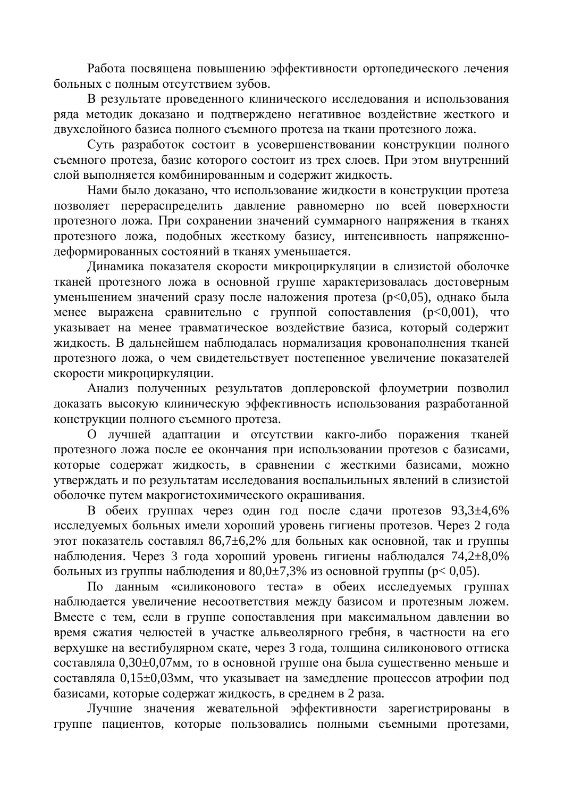Работа посвящена повышению эффективности ортопедического лечения больных с полным отсутствием зубов.

В результате проведенного клинического исследования и использования ряда методик доказано и подтверждено негативное воздействие жесткого и двухслойного базиса полного съемного протеза на ткани протезного ложа.

Суть разработок состоит в усовершенствовании конструкции полного съемного протеза, базис которого состоит из трех слоев. При этом внутренний слой выполняется комбинированным и содержит жидкость.

Нами было доказано, что использование жидкости в конструкции протеза позволяет перераспределить давление равномерно по всей поверхности протезного ложа. При сохранении значений суммарного напряжения в тканях протезного ложа, подобных жесткому базису, интенсивность напряженнодеформированных состояний в тканях уменьшается.

Динамика показателя скорости микроциркуляции в слизистой оболочке тканей протезного ложа в основной группе характеризовалась достоверным уменьшением значений сразу после наложения протеза (p<0,05), однако была менее выражена сравнительно с группой сопоставления ( $p<0,001$ ), что указывает на менее травматическое воздействие базиса, который содержит жидкость. В дальнейшем наблюдалась нормализация кровонаполнения тканей протезного ложа, о чем свидетельствует постепенное увеличение показателей скорости микроциркуляции.

Анализ полученных результатов доплеровской флоуметрии позволил доказать высокую клиническую эффективность использования разработанной конструкции полного съемного протеза.

О лучшей адаптации и отсутствии какго-либо поражения тканей протезного ложа после ее окончания при использовании протезов с базисами, которые содержат жидкость, в сравнении с жесткими базисами, можно утверждать и по результатам исследования воспальильных явлений в слизистой оболочке путем макрогистохимического окрашивания.

В обеих группах через один год после сдачи протезов 93,3±4,6% исследуемых больных имели хороший уровень гигиены протезов. Через 2 года этот показатель составлял 86,7 $\pm$ 6,2% для больных как основной, так и группы наблюдения. Через 3 года хороший уровень гигиены наблюдался  $74.2 \pm 8.0\%$ больных из группы наблюдения и  $80,0\pm7,3\%$  из основной группы ( $p < 0,05$ ).

По данным «силиконового теста» в обеих исследуемых группах наблюдается увеличение несоответствия между базисом и протезным ложем. Вместе с тем, если в группе сопоставления при максимальном давлении во время сжатия челюстей в участке альвеолярного гребня, в частности на его верхушке на вестибулярном скате, через 3 года, толшина силиконового оттиска составляла 0,30±0,07мм, то в основной группе она была существенно меньше и составляла 0,15±0,03мм, что указывает на замедление процессов атрофии под базисами, которые содержат жидкость, в среднем в 2 раза.

Лучшие значения жевательной эффективности зарегистрированы в группе пациентов, которые пользовались полными съемными протезами,